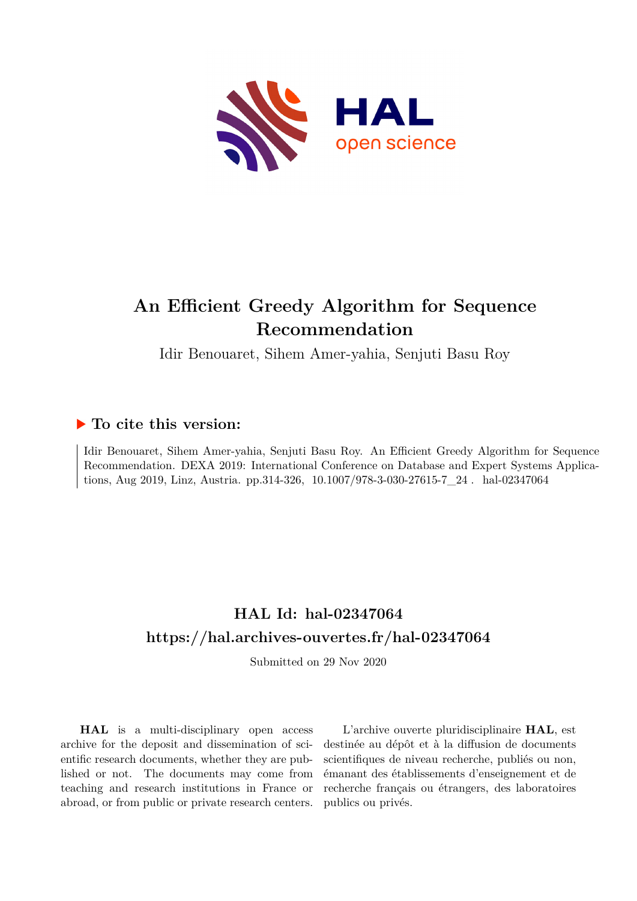

# **An Efficient Greedy Algorithm for Sequence Recommendation**

Idir Benouaret, Sihem Amer-yahia, Senjuti Basu Roy

## **To cite this version:**

Idir Benouaret, Sihem Amer-yahia, Senjuti Basu Roy. An Efficient Greedy Algorithm for Sequence Recommendation. DEXA 2019: International Conference on Database and Expert Systems Applications, Aug 2019, Linz, Austria. pp.314-326, 10.1007/978-3-030-27615-7\_24. hal-02347064

# **HAL Id: hal-02347064 <https://hal.archives-ouvertes.fr/hal-02347064>**

Submitted on 29 Nov 2020

**HAL** is a multi-disciplinary open access archive for the deposit and dissemination of scientific research documents, whether they are published or not. The documents may come from teaching and research institutions in France or abroad, or from public or private research centers.

L'archive ouverte pluridisciplinaire **HAL**, est destinée au dépôt et à la diffusion de documents scientifiques de niveau recherche, publiés ou non, émanant des établissements d'enseignement et de recherche français ou étrangers, des laboratoires publics ou privés.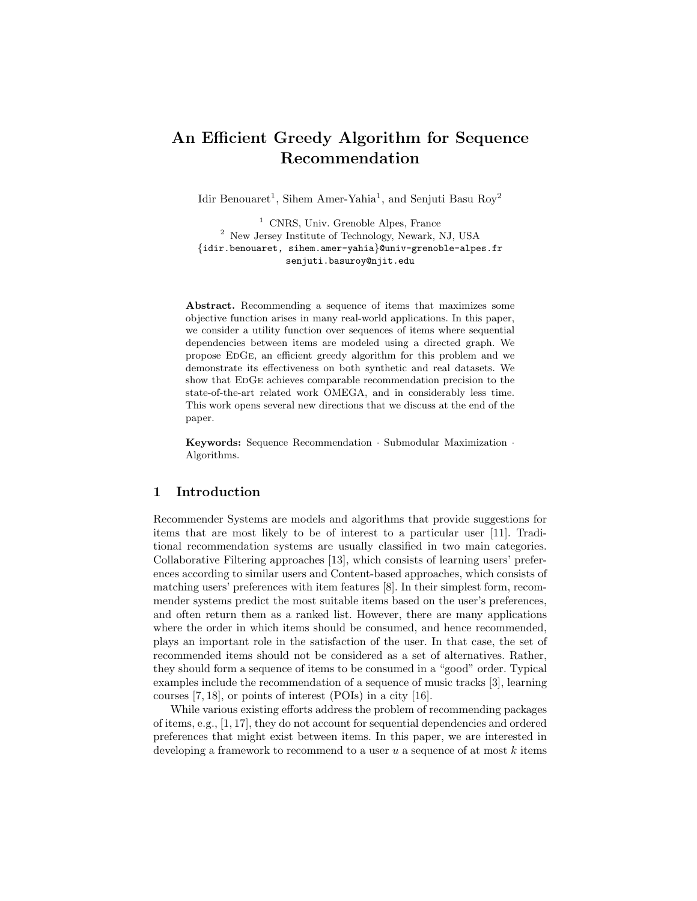## An Efficient Greedy Algorithm for Sequence Recommendation

Idir Benouaret<sup>1</sup>, Sihem Amer-Yahia<sup>1</sup>, and Senjuti Basu Roy<sup>2</sup>

<sup>1</sup> CNRS, Univ. Grenoble Alpes, France <sup>2</sup> New Jersey Institute of Technology, Newark, NJ, USA {idir.benouaret, sihem.amer-yahia}@univ-grenoble-alpes.fr senjuti.basuroy@njit.edu

Abstract. Recommending a sequence of items that maximizes some objective function arises in many real-world applications. In this paper, we consider a utility function over sequences of items where sequential dependencies between items are modeled using a directed graph. We propose EdGe, an efficient greedy algorithm for this problem and we demonstrate its effectiveness on both synthetic and real datasets. We show that EDGE achieves comparable recommendation precision to the state-of-the-art related work OMEGA, and in considerably less time. This work opens several new directions that we discuss at the end of the paper.

Keywords: Sequence Recommendation · Submodular Maximization · Algorithms.

### 1 Introduction

Recommender Systems are models and algorithms that provide suggestions for items that are most likely to be of interest to a particular user [11]. Traditional recommendation systems are usually classified in two main categories. Collaborative Filtering approaches [13], which consists of learning users' preferences according to similar users and Content-based approaches, which consists of matching users' preferences with item features [8]. In their simplest form, recommender systems predict the most suitable items based on the user's preferences, and often return them as a ranked list. However, there are many applications where the order in which items should be consumed, and hence recommended, plays an important role in the satisfaction of the user. In that case, the set of recommended items should not be considered as a set of alternatives. Rather, they should form a sequence of items to be consumed in a "good" order. Typical examples include the recommendation of a sequence of music tracks [3], learning courses [7, 18], or points of interest (POIs) in a city [16].

While various existing efforts address the problem of recommending packages of items, e.g., [1, 17], they do not account for sequential dependencies and ordered preferences that might exist between items. In this paper, we are interested in developing a framework to recommend to a user  $u$  a sequence of at most  $k$  items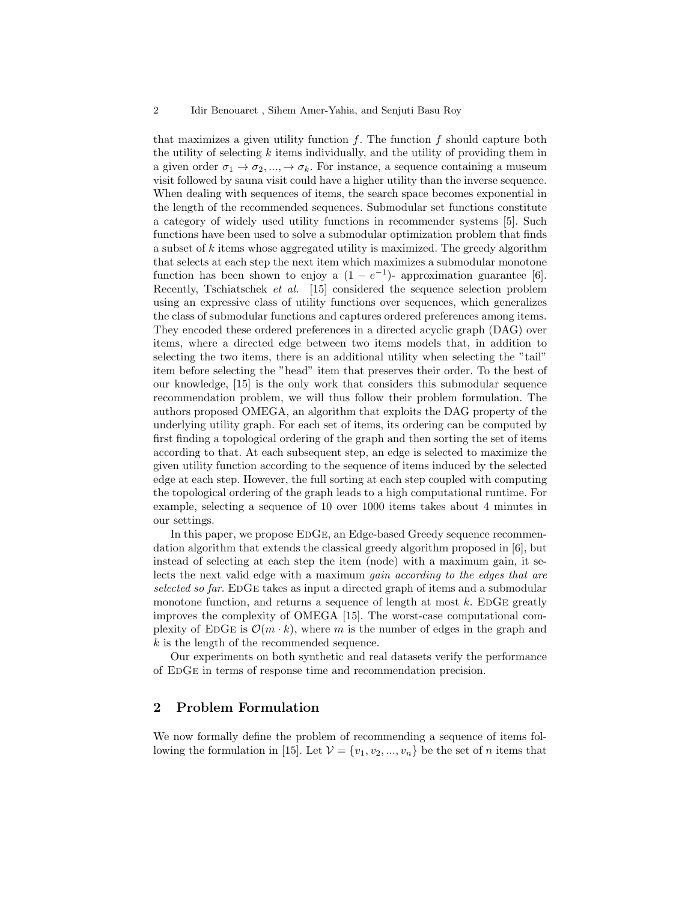that maximizes a given utility function  $f$ . The function  $f$  should capture both the utility of selecting  $k$  items individually, and the utility of providing them in a given order  $\sigma_1 \to \sigma_2, ..., \to \sigma_k$ . For instance, a sequence containing a museum visit followed by sauna visit could have a higher utility than the inverse sequence. When dealing with sequences of items, the search space becomes exponential in the length of the recommended sequences. Submodular set functions constitute a category of widely used utility functions in recommender systems [5]. Such functions have been used to solve a submodular optimization problem that finds a subset of k items whose aggregated utility is maximized. The greedy algorithm that selects at each step the next item which maximizes a submodular monotone function has been shown to enjoy a  $(1 - e^{-1})$ - approximation guarantee [6]. Recently, Tschiatschek et al. [15] considered the sequence selection problem using an expressive class of utility functions over sequences, which generalizes the class of submodular functions and captures ordered preferences among items. They encoded these ordered preferences in a directed acyclic graph (DAG) over items, where a directed edge between two items models that, in addition to selecting the two items, there is an additional utility when selecting the "tail" item before selecting the "head" item that preserves their order. To the best of our knowledge, [15] is the only work that considers this submodular sequence recommendation problem, we will thus follow their problem formulation. The authors proposed OMEGA, an algorithm that exploits the DAG property of the underlying utility graph. For each set of items, its ordering can be computed by first finding a topological ordering of the graph and then sorting the set of items according to that. At each subsequent step, an edge is selected to maximize the given utility function according to the sequence of items induced by the selected edge at each step. However, the full sorting at each step coupled with computing the topological ordering of the graph leads to a high computational runtime. For example, selecting a sequence of 10 over 1000 items takes about 4 minutes in our settings.

In this paper, we propose EDGE, an Edge-based Greedy sequence recommendation algorithm that extends the classical greedy algorithm proposed in [6], but instead of selecting at each step the item (node) with a maximum gain, it selects the next valid edge with a maximum gain according to the edges that are selected so far. EDGE takes as input a directed graph of items and a submodular monotone function, and returns a sequence of length at most  $k$ . EDGE greatly improves the complexity of OMEGA [15]. The worst-case computational complexity of EDGE is  $\mathcal{O}(m \cdot k)$ , where m is the number of edges in the graph and k is the length of the recommended sequence.

Our experiments on both synthetic and real datasets verify the performance of EdGe in terms of response time and recommendation precision.

## 2 Problem Formulation

We now formally define the problem of recommending a sequence of items following the formulation in [15]. Let  $V = \{v_1, v_2, ..., v_n\}$  be the set of *n* items that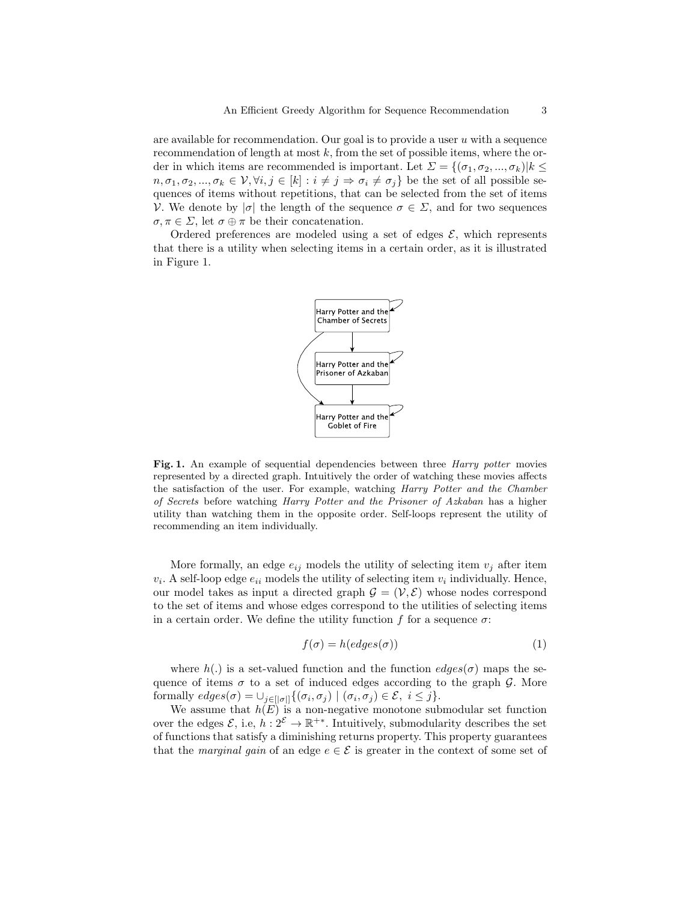are available for recommendation. Our goal is to provide a user  $u$  with a sequence recommendation of length at most  $k$ , from the set of possible items, where the order in which items are recommended is important. Let  $\Sigma = \{(\sigma_1, \sigma_2, ..., \sigma_k) | k \leq \sigma_k\}$  $n, \sigma_1, \sigma_2, ..., \sigma_k \in V$ ,  $\forall i, j \in [k] : i \neq j \Rightarrow \sigma_i \neq \sigma_j$  be the set of all possible sequences of items without repetitions, that can be selected from the set of items V. We denote by  $|\sigma|$  the length of the sequence  $\sigma \in \Sigma$ , and for two sequences  $\sigma, \pi \in \Sigma$ , let  $\sigma \oplus \pi$  be their concatenation.

Ordered preferences are modeled using a set of edges  $\mathcal{E}$ , which represents that there is a utility when selecting items in a certain order, as it is illustrated in Figure 1.



Fig. 1. An example of sequential dependencies between three *Harry potter* movies represented by a directed graph. Intuitively the order of watching these movies affects the satisfaction of the user. For example, watching Harry Potter and the Chamber of Secrets before watching Harry Potter and the Prisoner of Azkaban has a higher utility than watching them in the opposite order. Self-loops represent the utility of recommending an item individually.

More formally, an edge  $e_{ij}$  models the utility of selecting item  $v_j$  after item  $v_i$ . A self-loop edge  $e_{ii}$  models the utility of selecting item  $v_i$  individually. Hence, our model takes as input a directed graph  $\mathcal{G} = (\mathcal{V}, \mathcal{E})$  whose nodes correspond to the set of items and whose edges correspond to the utilities of selecting items in a certain order. We define the utility function f for a sequence  $\sigma$ :

$$
f(\sigma) = h(\text{edges}(\sigma))\tag{1}
$$

where  $h(.)$  is a set-valued function and the function  $edges(\sigma)$  maps the sequence of items  $\sigma$  to a set of induced edges according to the graph  $\mathcal{G}$ . More formally  $edges(\sigma) = \bigcup_{j \in [|\sigma|]} \{(\sigma_i, \sigma_j) | (\sigma_i, \sigma_j) \in \mathcal{E}, i \leq j\}.$ 

We assume that  $h(E)$  is a non-negative monotone submodular set function over the edges  $\mathcal{E}$ , i.e,  $h: 2^{\mathcal{E}} \to \mathbb{R}^{+*}$ . Intuitively, submodularity describes the set of functions that satisfy a diminishing returns property. This property guarantees that the marginal gain of an edge  $e \in \mathcal{E}$  is greater in the context of some set of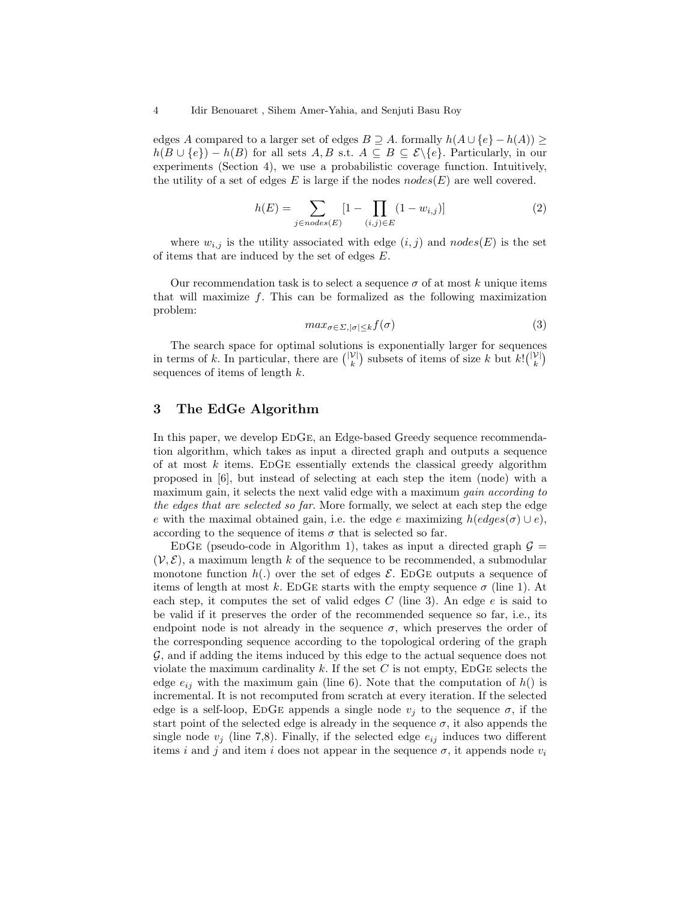edges A compared to a larger set of edges  $B \supseteq A$ . formally  $h(A \cup \{e\} - h(A)) \geq$  $h(B\cup \{e\}) - h(B)$  for all sets  $A, B$  s.t.  $A \subseteq B \subseteq \mathcal{E}\backslash\{e\}$ . Particularly, in our experiments (Section 4), we use a probabilistic coverage function. Intuitively, the utility of a set of edges  $E$  is large if the nodes  $nodes(E)$  are well covered.

$$
h(E) = \sum_{j \in nodes(E)} [1 - \prod_{(i,j) \in E} (1 - w_{i,j})]
$$
 (2)

where  $w_{i,j}$  is the utility associated with edge  $(i, j)$  and  $nodes(E)$  is the set of items that are induced by the set of edges  $E$ .

Our recommendation task is to select a sequence  $\sigma$  of at most k unique items that will maximize  $f$ . This can be formalized as the following maximization problem:

$$
max_{\sigma \in \Sigma, |\sigma| \le k} f(\sigma) \tag{3}
$$

The search space for optimal solutions is exponentially larger for sequences in terms of k. In particular, there are  $\binom{|V|}{k}$  subsets of items of size k but  $k! \binom{|V|}{k}$ sequences of items of length  $k$ .

## 3 The EdGe Algorithm

In this paper, we develop EDGE, an Edge-based Greedy sequence recommendation algorithm, which takes as input a directed graph and outputs a sequence of at most k items. EDGE essentially extends the classical greedy algorithm proposed in [6], but instead of selecting at each step the item (node) with a maximum gain, it selects the next valid edge with a maximum *gain according to* the edges that are selected so far. More formally, we select at each step the edge e with the maximal obtained gain, i.e. the edge e maximizing  $h(edges(\sigma) \cup e)$ , according to the sequence of items  $\sigma$  that is selected so far.

EDGE (pseudo-code in Algorithm 1), takes as input a directed graph  $\mathcal{G} =$  $(V, \mathcal{E})$ , a maximum length k of the sequence to be recommended, a submodular monotone function  $h(.)$  over the set of edges  $\mathcal{E}$ . EDGE outputs a sequence of items of length at most k. EDGE starts with the empty sequence  $\sigma$  (line 1). At each step, it computes the set of valid edges  $C$  (line 3). An edge  $e$  is said to be valid if it preserves the order of the recommended sequence so far, i.e., its endpoint node is not already in the sequence  $\sigma$ , which preserves the order of the corresponding sequence according to the topological ordering of the graph G, and if adding the items induced by this edge to the actual sequence does not violate the maximum cardinality  $k$ . If the set C is not empty, EDGE selects the edge  $e_{ij}$  with the maximum gain (line 6). Note that the computation of  $h()$  is incremental. It is not recomputed from scratch at every iteration. If the selected edge is a self-loop, EDGE appends a single node  $v_i$  to the sequence  $\sigma$ , if the start point of the selected edge is already in the sequence  $\sigma$ , it also appends the single node  $v_j$  (line 7,8). Finally, if the selected edge  $e_{ij}$  induces two different items i and j and item i does not appear in the sequence  $\sigma$ , it appends node  $v_i$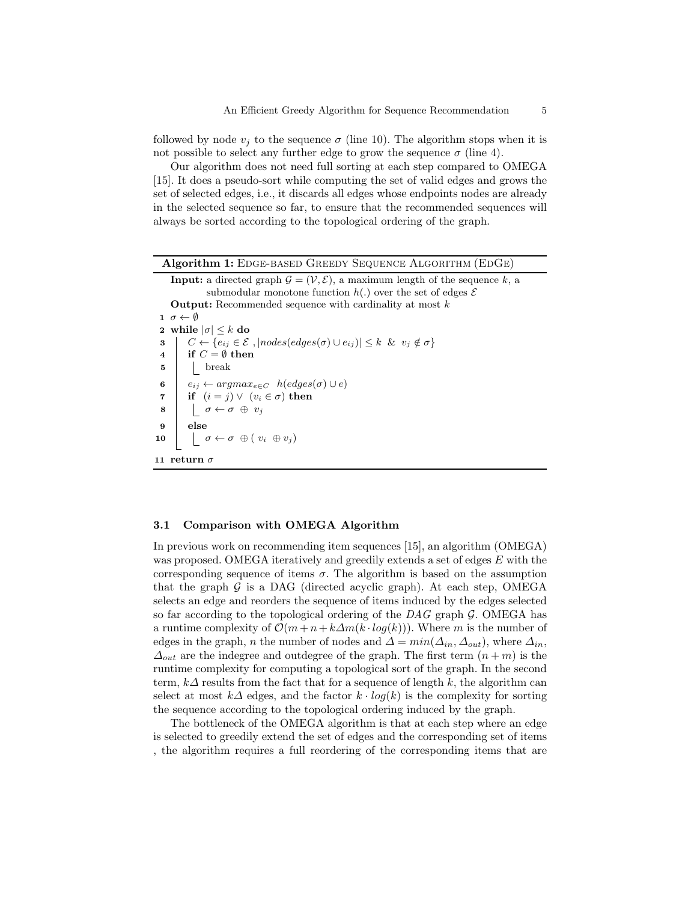followed by node  $v_j$  to the sequence  $\sigma$  (line 10). The algorithm stops when it is not possible to select any further edge to grow the sequence  $\sigma$  (line 4).

Our algorithm does not need full sorting at each step compared to OMEGA [15]. It does a pseudo-sort while computing the set of valid edges and grows the set of selected edges, i.e., it discards all edges whose endpoints nodes are already in the selected sequence so far, to ensure that the recommended sequences will always be sorted according to the topological ordering of the graph.

| Algorithm 1: EDGE-BASED GREEDY SEQUENCE ALGORITHM (EDGE)                                                             |  |  |  |  |  |  |
|----------------------------------------------------------------------------------------------------------------------|--|--|--|--|--|--|
| <b>Input:</b> a directed graph $\mathcal{G} = (\mathcal{V}, \mathcal{E})$ , a maximum length of the sequence k, a    |  |  |  |  |  |  |
| submodular monotone function $h(.)$ over the set of edges $\mathcal E$                                               |  |  |  |  |  |  |
| <b>Output:</b> Recommended sequence with cardinality at most $k$                                                     |  |  |  |  |  |  |
| $1 \sigma \leftarrow \emptyset$                                                                                      |  |  |  |  |  |  |
| 2 while $ \sigma  \leq k$ do                                                                                         |  |  |  |  |  |  |
| $C \leftarrow \{e_{ij} \in \mathcal{E} ,  nodes(edges(\sigma) \cup e_{ij})  \leq k \ \& \ v_i \notin \sigma \}$<br>3 |  |  |  |  |  |  |
| if $C = \emptyset$ then<br>$\overline{\bf{4}}$                                                                       |  |  |  |  |  |  |
| break<br>5                                                                                                           |  |  |  |  |  |  |
| $e_{ij} \leftarrow argmax_{e \in C} \ h(edges(\sigma) \cup e)$<br>6                                                  |  |  |  |  |  |  |
| if $(i = j) \vee (v_i \in \sigma)$ then<br>$\overline{7}$                                                            |  |  |  |  |  |  |
| $\sigma \leftarrow \sigma \oplus v_j$<br>8                                                                           |  |  |  |  |  |  |
| else<br>9                                                                                                            |  |  |  |  |  |  |
| $\sigma \leftarrow \sigma \oplus (v_i \oplus v_j)$<br>10                                                             |  |  |  |  |  |  |
| return $\sigma$<br>11                                                                                                |  |  |  |  |  |  |

#### 3.1 Comparison with OMEGA Algorithm

In previous work on recommending item sequences [15], an algorithm (OMEGA) was proposed. OMEGA iteratively and greedily extends a set of edges E with the corresponding sequence of items  $\sigma$ . The algorithm is based on the assumption that the graph  $G$  is a DAG (directed acyclic graph). At each step, OMEGA selects an edge and reorders the sequence of items induced by the edges selected so far according to the topological ordering of the  $DAG$  graph  $\mathcal{G}$ . OMEGA has a runtime complexity of  $\mathcal{O}(m+n+k\Delta m(k \cdot log(k)))$ . Where m is the number of edges in the graph, *n* the number of nodes and  $\Delta = min(\Delta_{in}, \Delta_{out})$ , where  $\Delta_{in}$ ,  $\Delta_{out}$  are the indegree and outdegree of the graph. The first term  $(n+m)$  is the runtime complexity for computing a topological sort of the graph. In the second term,  $k\Delta$  results from the fact that for a sequence of length k, the algorithm can select at most  $k\Delta$  edges, and the factor  $k \cdot log(k)$  is the complexity for sorting the sequence according to the topological ordering induced by the graph.

The bottleneck of the OMEGA algorithm is that at each step where an edge is selected to greedily extend the set of edges and the corresponding set of items , the algorithm requires a full reordering of the corresponding items that are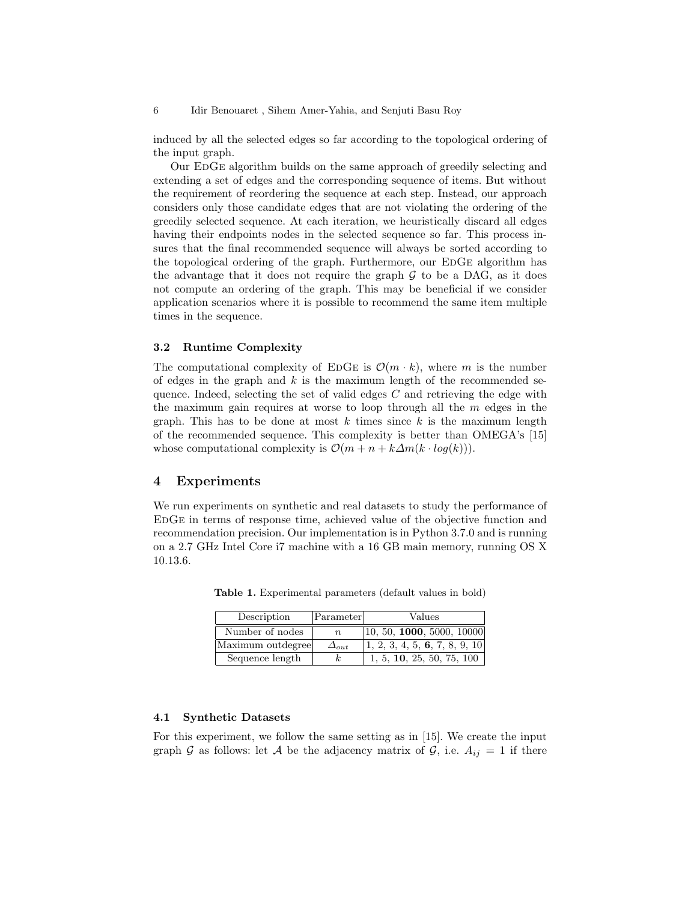induced by all the selected edges so far according to the topological ordering of the input graph.

Our EdGe algorithm builds on the same approach of greedily selecting and extending a set of edges and the corresponding sequence of items. But without the requirement of reordering the sequence at each step. Instead, our approach considers only those candidate edges that are not violating the ordering of the greedily selected sequence. At each iteration, we heuristically discard all edges having their endpoints nodes in the selected sequence so far. This process insures that the final recommended sequence will always be sorted according to the topological ordering of the graph. Furthermore, our EDGE algorithm has the advantage that it does not require the graph  $G$  to be a DAG, as it does not compute an ordering of the graph. This may be beneficial if we consider application scenarios where it is possible to recommend the same item multiple times in the sequence.

#### 3.2 Runtime Complexity

The computational complexity of EDGE is  $\mathcal{O}(m \cdot k)$ , where m is the number of edges in the graph and  $k$  is the maximum length of the recommended sequence. Indeed, selecting the set of valid edges  $C$  and retrieving the edge with the maximum gain requires at worse to loop through all the m edges in the graph. This has to be done at most  $k$  times since  $k$  is the maximum length of the recommended sequence. This complexity is better than OMEGA's [15] whose computational complexity is  $\mathcal{O}(m + n + k\Delta m(k \cdot log(k))).$ 

## 4 Experiments

We run experiments on synthetic and real datasets to study the performance of EdGe in terms of response time, achieved value of the objective function and recommendation precision. Our implementation is in Python 3.7.0 and is running on a 2.7 GHz Intel Core i7 machine with a 16 GB main memory, running OS X 10.13.6.

| Description       | Parameter        | Values                                      |
|-------------------|------------------|---------------------------------------------|
| Number of nodes   | $\boldsymbol{n}$ | $\vert 10, 50, 1000, 5000, 10000 \vert$     |
| Maximum outdegree | $\Delta_{out}$   | $\vert 1, 2, 3, 4, 5, 6, 7, 8, 9, 10 \vert$ |
| Sequence length   | k <sub>i</sub>   | 1, 5, 10, 25, 50, 75, 100                   |

Table 1. Experimental parameters (default values in bold)

#### 4.1 Synthetic Datasets

For this experiment, we follow the same setting as in [15]. We create the input graph G as follows: let A be the adjacency matrix of G, i.e.  $A_{ij} = 1$  if there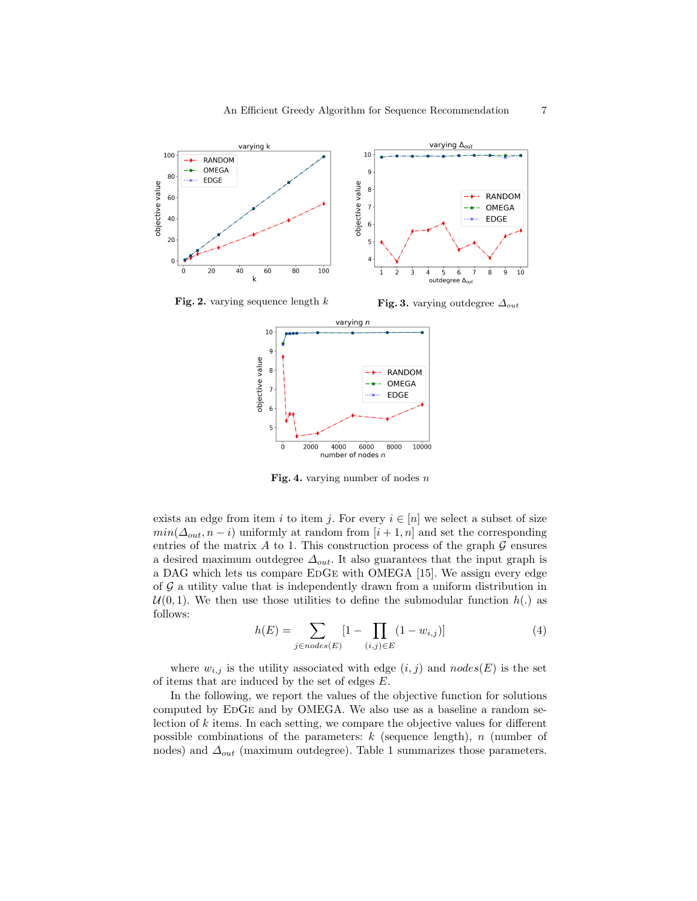

Fig. 4. varying number of nodes  $n$ 

exists an edge from item i to item j. For every  $i \in [n]$  we select a subset of size  $min(\Delta_{out}, n - i)$  uniformly at random from  $[i + 1, n]$  and set the corresponding entries of the matrix  $A$  to 1. This construction process of the graph  $G$  ensures a desired maximum outdegree  $\Delta_{out}$ . It also guarantees that the input graph is a DAG which lets us compare EDGE with OMEGA [15]. We assign every edge of  $G$  a utility value that is independently drawn from a uniform distribution in  $U(0, 1)$ . We then use those utilities to define the submodular function  $h(.)$  as follows:

$$
h(E) = \sum_{j \in nodes(E)} [1 - \prod_{(i,j) \in E} (1 - w_{i,j})]
$$
(4)

where  $w_{i,j}$  is the utility associated with edge  $(i, j)$  and  $nodes(E)$  is the set of items that are induced by the set of edges  $E$ .

In the following, we report the values of the objective function for solutions computed by EDGE and by OMEGA. We also use as a baseline a random selection of  $k$  items. In each setting, we compare the objective values for different possible combinations of the parameters:  $k$  (sequence length),  $n$  (number of nodes) and  $\Delta_{out}$  (maximum outdegree). Table 1 summarizes those parameters.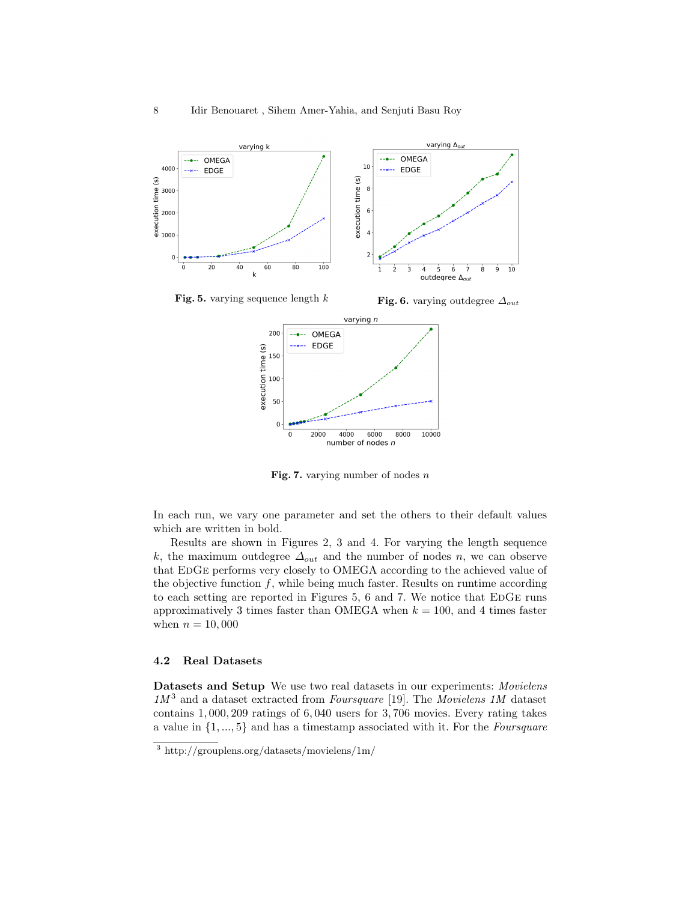

Fig. 7. varying number of nodes  $n$ 

In each run, we vary one parameter and set the others to their default values which are written in bold.

Results are shown in Figures 2, 3 and 4. For varying the length sequence k, the maximum outdegree  $\Delta_{out}$  and the number of nodes n, we can observe that EDGE performs very closely to OMEGA according to the achieved value of the objective function  $f$ , while being much faster. Results on runtime according to each setting are reported in Figures  $5, 6$  and  $7$ . We notice that EDGE runs approximatively 3 times faster than OMEGA when  $k = 100$ , and 4 times faster when  $n = 10,000$ 

### 4.2 Real Datasets

Datasets and Setup We use two real datasets in our experiments: Movielens  $1M<sup>3</sup>$  and a dataset extracted from *Foursquare* [19]. The *Movielens* 1M dataset contains 1, 000, 209 ratings of 6, 040 users for 3, 706 movies. Every rating takes a value in  $\{1, ..., 5\}$  and has a timestamp associated with it. For the *Foursquare* 

<sup>3</sup> http://grouplens.org/datasets/movielens/1m/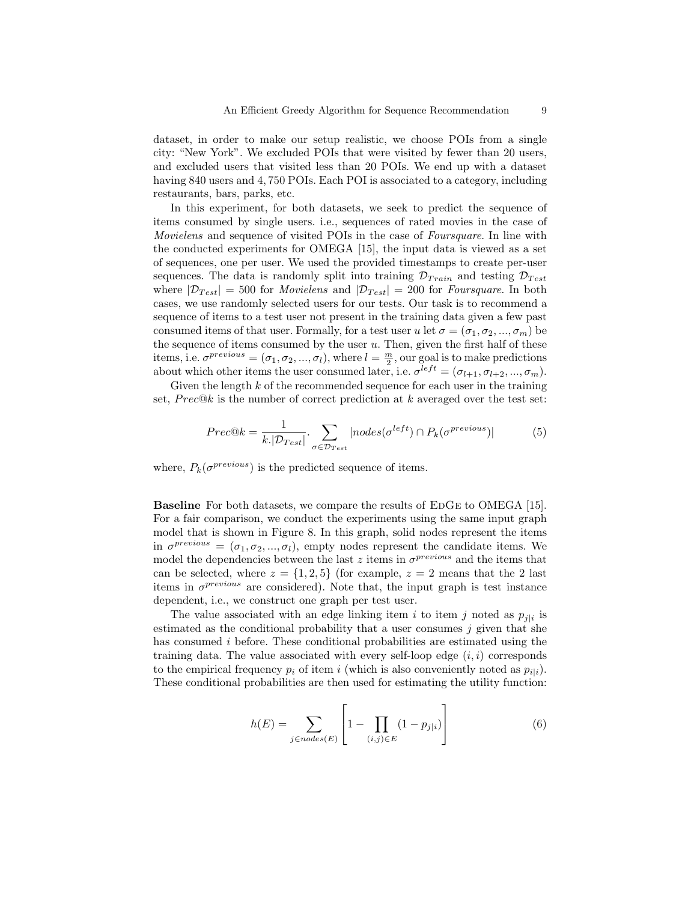dataset, in order to make our setup realistic, we choose POIs from a single city: "New York". We excluded POIs that were visited by fewer than 20 users, and excluded users that visited less than 20 POIs. We end up with a dataset having 840 users and 4,750 POIs. Each POI is associated to a category, including restaurants, bars, parks, etc.

In this experiment, for both datasets, we seek to predict the sequence of items consumed by single users. i.e., sequences of rated movies in the case of Movielens and sequence of visited POIs in the case of Foursquare. In line with the conducted experiments for OMEGA [15], the input data is viewed as a set of sequences, one per user. We used the provided timestamps to create per-user sequences. The data is randomly split into training  $\mathcal{D}_{Train}$  and testing  $\mathcal{D}_{Test}$ where  $|\mathcal{D}_{Test}| = 500$  for *Movielens* and  $|\mathcal{D}_{Test}| = 200$  for *Foursquare*. In both cases, we use randomly selected users for our tests. Our task is to recommend a sequence of items to a test user not present in the training data given a few past consumed items of that user. Formally, for a test user u let  $\sigma = (\sigma_1, \sigma_2, ..., \sigma_m)$  be the sequence of items consumed by the user  $u$ . Then, given the first half of these items, i.e.  $\sigma^{previous} = (\sigma_1, \sigma_2, ..., \sigma_l)$ , where  $l = \frac{m}{2}$ , our goal is to make predictions about which other items the user consumed later, i.e.  $\sigma^{left} = (\sigma_{l+1}, \sigma_{l+2}, ..., \sigma_m)$ .

Given the length  $k$  of the recommended sequence for each user in the training set,  $Prec@k$  is the number of correct prediction at k averaged over the test set:

$$
Prec@k = \frac{1}{k.|\mathcal{D}_{Test}|} \cdot \sum_{\sigma \in \mathcal{D}_{Test}} |nodes(\sigma^{left}) \cap P_k(\sigma^{previous})|
$$
 (5)

where,  $P_k(\sigma^{previous})$  is the predicted sequence of items.

Baseline For both datasets, we compare the results of EDGE to OMEGA [15]. For a fair comparison, we conduct the experiments using the same input graph model that is shown in Figure 8. In this graph, solid nodes represent the items in  $\sigma^{previous} = (\sigma_1, \sigma_2, ..., \sigma_l)$ , empty nodes represent the candidate items. We model the dependencies between the last z items in  $\sigma^{previous}$  and the items that can be selected, where  $z = \{1, 2, 5\}$  (for example,  $z = 2$  means that the 2 last items in  $\sigma^{previous}$  are considered). Note that, the input graph is test instance dependent, i.e., we construct one graph per test user.

The value associated with an edge linking item i to item j noted as  $p_{j|i}$  is estimated as the conditional probability that a user consumes  $j$  given that she has consumed i before. These conditional probabilities are estimated using the training data. The value associated with every self-loop edge  $(i, i)$  corresponds to the empirical frequency  $p_i$  of item i (which is also conveniently noted as  $p_{i|i}$ ). These conditional probabilities are then used for estimating the utility function:

$$
h(E) = \sum_{j \in nodes(E)} \left[ 1 - \prod_{(i,j) \in E} (1 - p_{j|i}) \right]
$$
 (6)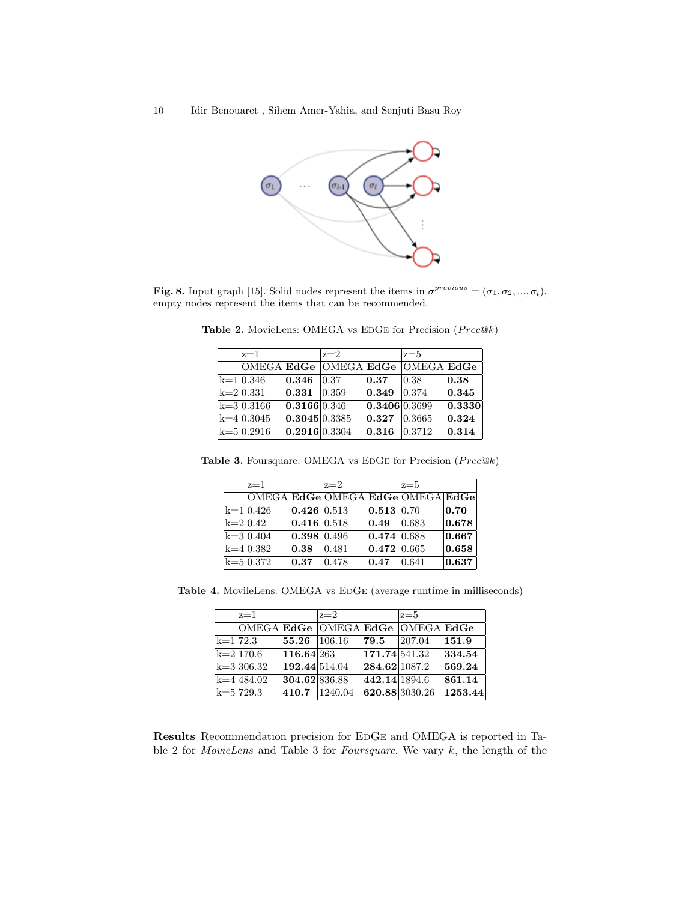

**Fig. 8.** Input graph [15]. Solid nodes represent the items in  $\sigma^{previous} = (\sigma_1, \sigma_2, ..., \sigma_l)$ , empty nodes represent the items that can be recommended.

| $z=1$                                                      |                                       | $z=2$ |                                       | $z=5$            |        |
|------------------------------------------------------------|---------------------------------------|-------|---------------------------------------|------------------|--------|
| OMEGA  <b>EdGe</b>  OMEGA  <b>EdGe</b>  OMEGA  <b>EdGe</b> |                                       |       |                                       |                  |        |
| $ k=1 0.346$                                               | 0.346                                 | 0.37  | 0.37                                  | 0.38             | 0.38   |
| $ k=2 0.331 $                                              | $\vert 0.331 \vert \vert 0.359 \vert$ |       | $\vert 0.349 \vert \vert 0.374 \vert$ |                  | 0.345  |
| $\vert k=3\vert 0.3166$                                    | 0.3166 0.346                          |       | 0.3406 0.3699                         |                  | 0.3330 |
| $ k=4 0.3045$                                              | 0.3045 0.3385                         |       | 0.327                                 | 0.3665           | 0.324  |
| $ k=5 0.2916$                                              | 0.2916 0.3304                         |       | 0.316                                 | $ 0.3712\rangle$ | 0.314  |

Table 2. MovieLens: OMEGA vs EDGE for Precision  $(Prec@k)$ 

Table 3. Foursquare: OMEGA vs EDGE for Precision  $(Prec@k)$ 

| $z=1$         |                 | $ z=2 $ |                | $z=5$                            |                |
|---------------|-----------------|---------|----------------|----------------------------------|----------------|
|               |                 |         |                | OMEGA EdGe OMEGA EdGe OMEGA EdGe |                |
| $k = 110.426$ | $0.426\, 0.513$ |         | 0.513 0.70     |                                  | $ 0.70\rangle$ |
| $k=2 0.42 $   | $0.416\, 0.518$ |         | 0.49           | 0.683                            | 0.678          |
| $k=3 0.404$   | $0.398\, 0.496$ |         | 0.47410.688    |                                  | 0.667          |
| $ k=4 0.382$  | 0.38            | 0.481   | $0.472$ 0.665  |                                  | 0.658          |
| $ k=5 0.372$  | 0.37            | 0.478   | $ 0.47\rangle$ | 0.641                            | 0.637          |

Table 4. MovileLens: OMEGA vs EDGE (average runtime in milliseconds)

|                | $z=1$                   |               | $z=2$   |               | $z=5$                                                      |         |
|----------------|-------------------------|---------------|---------|---------------|------------------------------------------------------------|---------|
|                |                         |               |         |               | OMEGA  <b>EdGe</b>  OMEGA  <b>EdGe</b>  OMEGA  <b>EdGe</b> |         |
| $\Bbbk=1172.3$ |                         | 55.26         | 106.16  | 79.5          | 207.04                                                     | 151.9   |
|                | $\vert k=2\vert 170.6$  | 116.64 263    |         | 171.74541.32  |                                                            | 334.54  |
|                | $\vert k=3\vert 306.32$ | 192.44 514.04 |         | 284.62 1087.2 |                                                            | 569.24  |
|                | k=4 484.02              | 304.62 836.88 |         | 442.14 1894.6 |                                                            | 861.14  |
|                | $ k=5 729.3 $           | 410.7         | 1240.04 |               | 620.88 3030.26                                             | 1253.44 |

Results Recommendation precision for EDGE and OMEGA is reported in Table 2 for  $MovieLens$  and Table 3 for  $Foursquare$ . We vary  $k$ , the length of the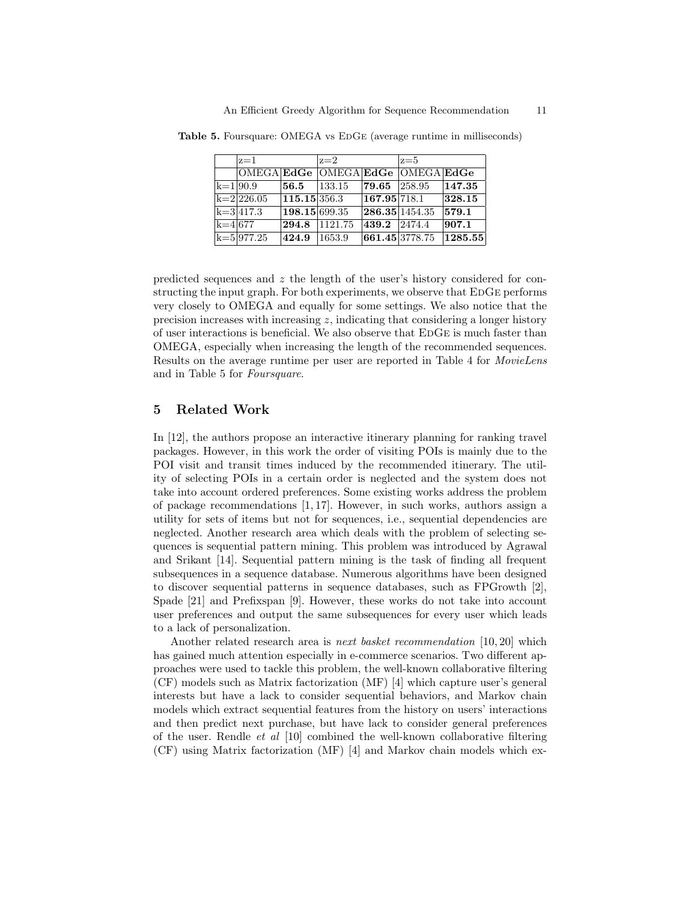|            | $z=1$                            |                | $z=2$   |                | $z=5$          |         |
|------------|----------------------------------|----------------|---------|----------------|----------------|---------|
|            | OMEGA EdGe OMEGA EdGe OMEGA EdGe |                |         |                |                |         |
| $k=1190.9$ |                                  | 56.5           | 133.15  | 79.65          | 258.95         | 147.35  |
|            | $\vert k=2\vert 226.05$          | $115.15$ 356.3 |         | $167.95$ 718.1 |                | 328.15  |
|            | $k=3/417.3$                      | 198.15 699.35  |         |                | 286.35 1454.35 | 579.1   |
| $k = 4677$ |                                  | 294.8          | 1121.75 | 439.2 2474.4   |                | 907.1   |
|            | $ k=5 977.25$                    | 424.9          | 1653.9  |                | 661.45 3778.75 | 1285.55 |

Table 5. Foursquare: OMEGA vs EDGE (average runtime in milliseconds)

predicted sequences and z the length of the user's history considered for constructing the input graph. For both experiments, we observe that EDGE performs very closely to OMEGA and equally for some settings. We also notice that the precision increases with increasing  $z$ , indicating that considering a longer history of user interactions is beneficial. We also observe that EDGE is much faster than OMEGA, especially when increasing the length of the recommended sequences. Results on the average runtime per user are reported in Table 4 for MovieLens and in Table 5 for Foursquare.

## 5 Related Work

In [12], the authors propose an interactive itinerary planning for ranking travel packages. However, in this work the order of visiting POIs is mainly due to the POI visit and transit times induced by the recommended itinerary. The utility of selecting POIs in a certain order is neglected and the system does not take into account ordered preferences. Some existing works address the problem of package recommendations [1, 17]. However, in such works, authors assign a utility for sets of items but not for sequences, i.e., sequential dependencies are neglected. Another research area which deals with the problem of selecting sequences is sequential pattern mining. This problem was introduced by Agrawal and Srikant [14]. Sequential pattern mining is the task of finding all frequent subsequences in a sequence database. Numerous algorithms have been designed to discover sequential patterns in sequence databases, such as FPGrowth [2], Spade [21] and Prefixspan [9]. However, these works do not take into account user preferences and output the same subsequences for every user which leads to a lack of personalization.

Another related research area is next basket recommendation [10, 20] which has gained much attention especially in e-commerce scenarios. Two different approaches were used to tackle this problem, the well-known collaborative filtering (CF) models such as Matrix factorization (MF) [4] which capture user's general interests but have a lack to consider sequential behaviors, and Markov chain models which extract sequential features from the history on users' interactions and then predict next purchase, but have lack to consider general preferences of the user. Rendle et al [10] combined the well-known collaborative filtering (CF) using Matrix factorization (MF) [4] and Markov chain models which ex-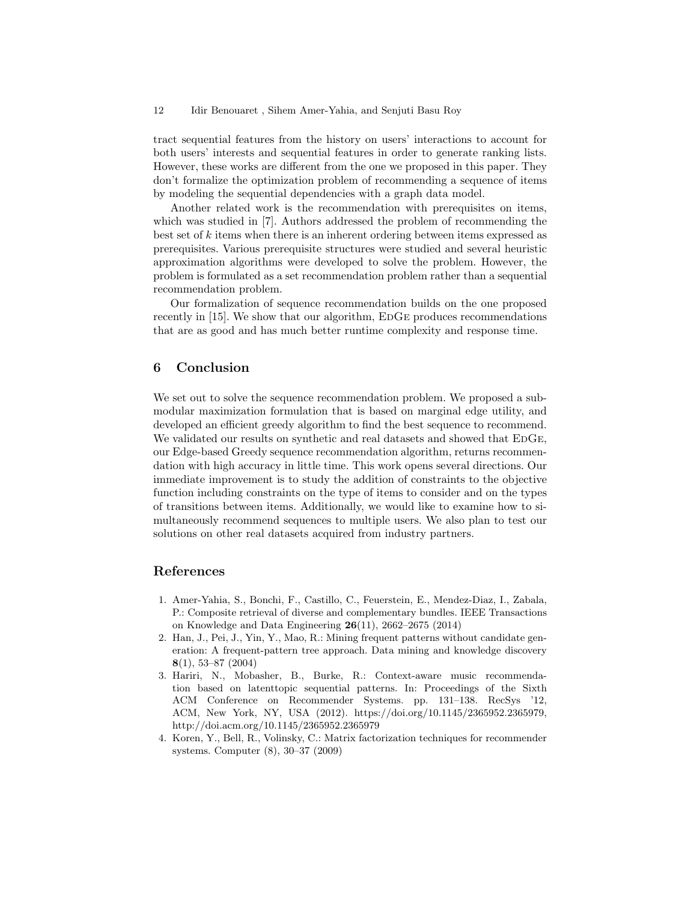#### 12 Idir Benouaret , Sihem Amer-Yahia, and Senjuti Basu Roy

tract sequential features from the history on users' interactions to account for both users' interests and sequential features in order to generate ranking lists. However, these works are different from the one we proposed in this paper. They don't formalize the optimization problem of recommending a sequence of items by modeling the sequential dependencies with a graph data model.

Another related work is the recommendation with prerequisites on items, which was studied in [7]. Authors addressed the problem of recommending the best set of k items when there is an inherent ordering between items expressed as prerequisites. Various prerequisite structures were studied and several heuristic approximation algorithms were developed to solve the problem. However, the problem is formulated as a set recommendation problem rather than a sequential recommendation problem.

Our formalization of sequence recommendation builds on the one proposed recently in [15]. We show that our algorithm, EDGE produces recommendations that are as good and has much better runtime complexity and response time.

## 6 Conclusion

We set out to solve the sequence recommendation problem. We proposed a submodular maximization formulation that is based on marginal edge utility, and developed an efficient greedy algorithm to find the best sequence to recommend. We validated our results on synthetic and real datasets and showed that EDGE, our Edge-based Greedy sequence recommendation algorithm, returns recommendation with high accuracy in little time. This work opens several directions. Our immediate improvement is to study the addition of constraints to the objective function including constraints on the type of items to consider and on the types of transitions between items. Additionally, we would like to examine how to simultaneously recommend sequences to multiple users. We also plan to test our solutions on other real datasets acquired from industry partners.

## References

- 1. Amer-Yahia, S., Bonchi, F., Castillo, C., Feuerstein, E., Mendez-Diaz, I., Zabala, P.: Composite retrieval of diverse and complementary bundles. IEEE Transactions on Knowledge and Data Engineering 26(11), 2662–2675 (2014)
- 2. Han, J., Pei, J., Yin, Y., Mao, R.: Mining frequent patterns without candidate generation: A frequent-pattern tree approach. Data mining and knowledge discovery 8(1), 53–87 (2004)
- 3. Hariri, N., Mobasher, B., Burke, R.: Context-aware music recommendation based on latenttopic sequential patterns. In: Proceedings of the Sixth ACM Conference on Recommender Systems. pp. 131–138. RecSys '12, ACM, New York, NY, USA (2012). https://doi.org/10.1145/2365952.2365979, http://doi.acm.org/10.1145/2365952.2365979
- 4. Koren, Y., Bell, R., Volinsky, C.: Matrix factorization techniques for recommender systems. Computer (8), 30–37 (2009)